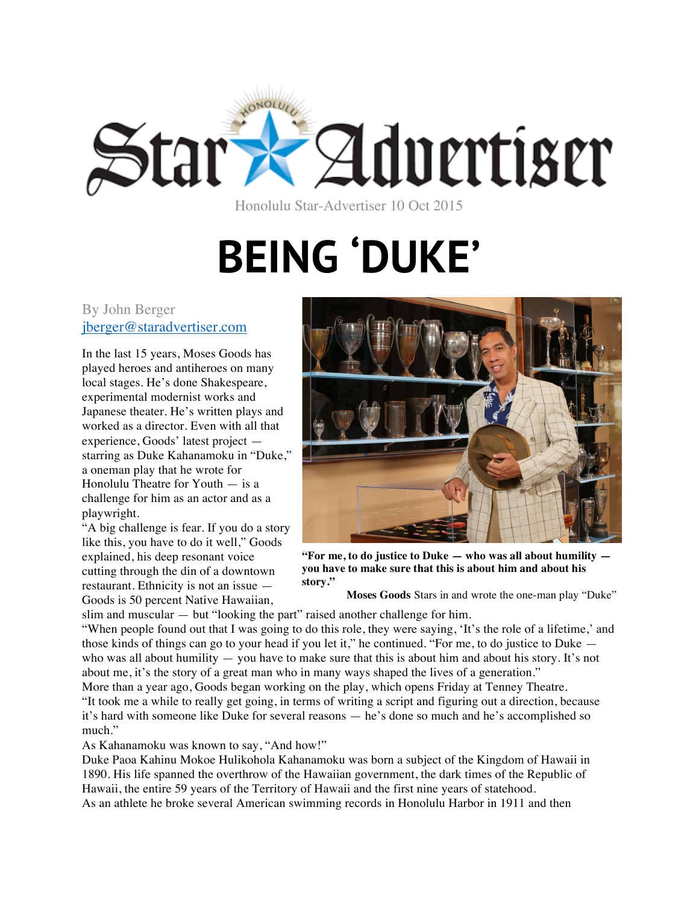

Honolulu Star-Advertiser 10 Oct 2015

## **BEING 'DUKE'**

## By John Berger jberger@staradvertiser.com

In the last 15 years, Moses Goods has played heroes and antiheroes on many local stages. He's done Shakespeare, experimental modernist works and Japanese theater. He's written plays and worked as a director. Even with all that experience, Goods' latest project starring as Duke Kahanamoku in "Duke," a oneman play that he wrote for Honolulu Theatre for Youth — is a challenge for him as an actor and as a playwright.

"A big challenge is fear. If you do a story like this, you have to do it well," Goods explained, his deep resonant voice cutting through the din of a downtown restaurant. Ethnicity is not an issue — Goods is 50 percent Native Hawaiian,



**"For me, to do justice to Duke — who was all about humility you have to make sure that this is about him and about his story."**

**Moses Goods** Stars in and wrote the one-man play "Duke"

slim and muscular — but "looking the part" raised another challenge for him.

"When people found out that I was going to do this role, they were saying, 'It's the role of a lifetime,' and those kinds of things can go to your head if you let it," he continued. "For me, to do justice to Duke who was all about humility — you have to make sure that this is about him and about his story. It's not about me, it's the story of a great man who in many ways shaped the lives of a generation."

More than a year ago, Goods began working on the play, which opens Friday at Tenney Theatre. "It took me a while to really get going, in terms of writing a script and figuring out a direction, because it's hard with someone like Duke for several reasons — he's done so much and he's accomplished so much."

As Kahanamoku was known to say, "And how!"

Duke Paoa Kahinu Mokoe Hulikohola Kahanamoku was born a subject of the Kingdom of Hawaii in 1890. His life spanned the overthrow of the Hawaiian government, the dark times of the Republic of Hawaii, the entire 59 years of the Territory of Hawaii and the first nine years of statehood. As an athlete he broke several American swimming records in Honolulu Harbor in 1911 and then